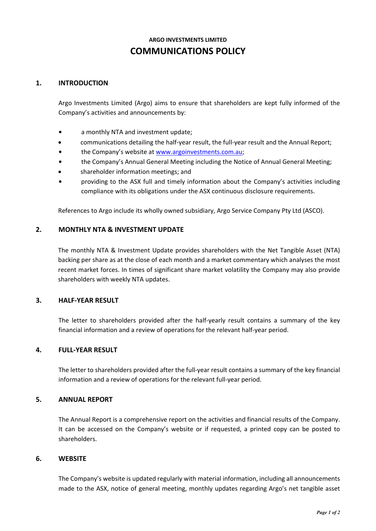# **ARGO INVESTMENTS LIMITED COMMUNICATIONS POLICY**

# **1. INTRODUCTION**

Argo Investments Limited (Argo) aims to ensure that shareholders are kept fully informed of the Company's activities and announcements by:

- **•** a monthly NTA and investment update;
- communications detailing the half-year result, the full-year result and the Annual Report;
- **•** the Company's website at [www.argoinvestments.com.au;](http://www.argoinvestments.com.au/)
- **•** the Company's Annual General Meeting including the Notice of Annual General Meeting;
- shareholder information meetings; and
- **•** providing to the ASX full and timely information about the Company's activities including compliance with its obligations under the ASX continuous disclosure requirements.

References to Argo include its wholly owned subsidiary, Argo Service Company Pty Ltd (ASCO).

#### **2. MONTHLY NTA & INVESTMENT UPDATE**

The monthly NTA & Investment Update provides shareholders with the Net Tangible Asset (NTA) backing per share as at the close of each month and a market commentary which analyses the most recent market forces. In times of significant share market volatility the Company may also provide shareholders with weekly NTA updates.

## **3. HALF-YEAR RESULT**

The letter to shareholders provided after the half-yearly result contains a summary of the key financial information and a review of operations for the relevant half-year period.

# **4. FULL-YEAR RESULT**

The letter to shareholders provided after the full-year result contains a summary of the key financial information and a review of operations for the relevant full-year period.

## **5. ANNUAL REPORT**

The Annual Report is a comprehensive report on the activities and financial results of the Company. It can be accessed on the Company's website or if requested, a printed copy can be posted to shareholders.

#### **6. WEBSITE**

The Company's website is updated regularly with material information, including all announcements made to the ASX, notice of general meeting, monthly updates regarding Argo's net tangible asset